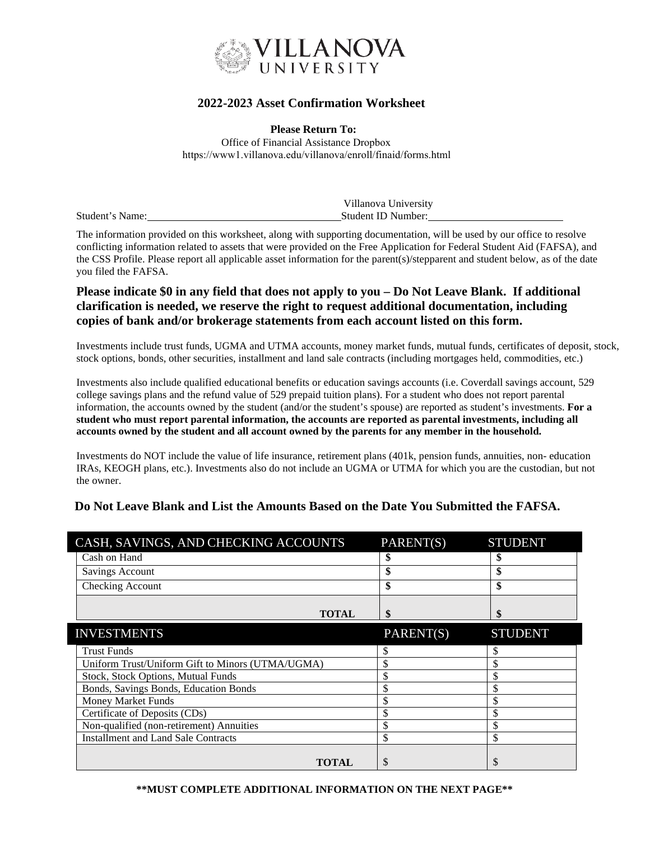

## **2022-2023 Asset Confirmation Worksheet**

**Please Return To:** Office of Financial Assistance Dropbox https://www1.villanova.edu/villanova/enroll/finaid/forms.html

|                 | Villanova University |
|-----------------|----------------------|
| Student's Name: | Student ID Number:   |

The information provided on this worksheet, along with supporting documentation, will be used by our office to resolve conflicting information related to assets that were provided on the Free Application for Federal Student Aid (FAFSA), and the CSS Profile. Please report all applicable asset information for the parent(s)/stepparent and student below, as of the date you filed the FAFSA.

## **Please indicate \$0 in any field that does not apply to you – Do Not Leave Blank. If additional clarification is needed, we reserve the right to request additional documentation, including copies of bank and/or brokerage statements from each account listed on this form.**

Investments include trust funds, UGMA and UTMA accounts, money market funds, mutual funds, certificates of deposit, stock, stock options, bonds, other securities, installment and land sale contracts (including mortgages held, commodities, etc.)

Investments also include qualified educational benefits or education savings accounts (i.e. Coverdall savings account, 529 college savings plans and the refund value of 529 prepaid tuition plans). For a student who does not report parental information, the accounts owned by the student (and/or the student's spouse) are reported as student's investments. **For a student who must report parental information, the accounts are reported as parental investments, including all accounts owned by the student and all account owned by the parents for any member in the household.**

Investments do NOT include the value of life insurance, retirement plans (401k, pension funds, annuities, non- education IRAs, KEOGH plans, etc.). Investments also do not include an UGMA or UTMA for which you are the custodian, but not the owner.

### **Do Not Leave Blank and List the Amounts Based on the Date You Submitted the FAFSA.**

| CASH, SAVINGS, AND CHECKING ACCOUNTS             | PARENT(S) | <b>STUDENT</b> |
|--------------------------------------------------|-----------|----------------|
| Cash on Hand                                     |           |                |
| <b>Savings Account</b>                           | \$        | \$             |
| Checking Account                                 | \$        | \$             |
|                                                  |           |                |
| <b>TOTAL</b>                                     | \$        |                |
| <b>INVESTMENTS</b>                               | PARENT(S) | <b>STUDENT</b> |
| <b>Trust Funds</b>                               | \$        | \$             |
| Uniform Trust/Uniform Gift to Minors (UTMA/UGMA) | \$        | \$             |
| Stock, Stock Options, Mutual Funds               | \$        | \$             |
| Bonds, Savings Bonds, Education Bonds            | \$        | \$             |
| <b>Money Market Funds</b>                        | \$        | \$             |
| Certificate of Deposits (CDs)                    | \$        | \$             |
| Non-qualified (non-retirement) Annuities         | \$        | \$             |
| <b>Installment and Land Sale Contracts</b>       | \$        | \$             |
|                                                  |           |                |
| <b>TOTAL</b>                                     | \$        |                |

#### **\*\*MUST COMPLETE ADDITIONAL INFORMATION ON THE NEXT PAGE\*\***